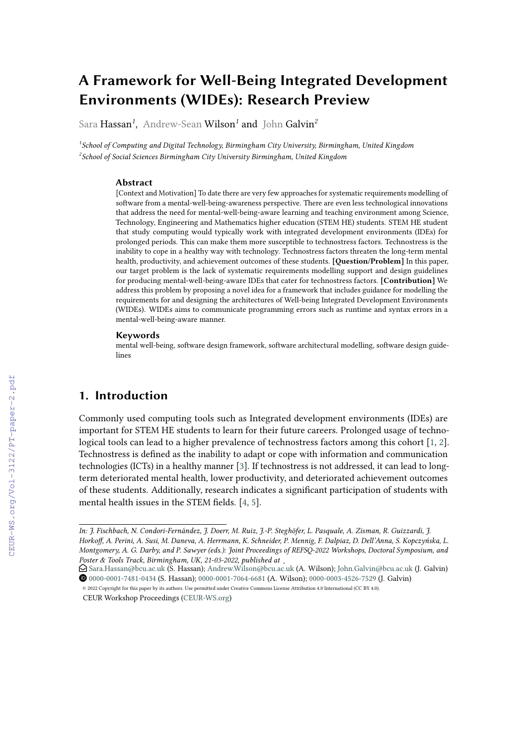# **A Framework for Well-Being Integrated Development Environments (WIDEs): Research Preview**

Sara Hassan*<sup>1</sup>* , Andrew-Sean Wilson*<sup>1</sup>* and John Galvin*<sup>2</sup>*

*1 School of Computing and Digital Technology, Birmingham City University, Birmingham, United Kingdom 2 School of Social Sciences Birmingham City University Birmingham, United Kingdom*

#### **Abstract**

[Context and Motivation] To date there are very few approaches for systematic requirements modelling of software from a mental-well-being-awareness perspective. There are even less technological innovations that address the need for mental-well-being-aware learning and teaching environment among Science, Technology, Engineering and Mathematics higher education (STEM HE) students. STEM HE student that study computing would typically work with integrated development environments (IDEs) for prolonged periods. This can make them more susceptible to technostress factors. Technostress is the inability to cope in a healthy way with technology. Technostress factors threaten the long-term mental health, productivity, and achievement outcomes of these students. **[Question/Problem]** In this paper, our target problem is the lack of systematic requirements modelling support and design guidelines for producing mental-well-being-aware IDEs that cater for technostress factors. **[Contribution]** We address this problem by proposing a novel idea for a framework that includes guidance for modelling the requirements for and designing the architectures of Well-being Integrated Development Environments (WIDEs). WIDEs aims to communicate programming errors such as runtime and syntax errors in a mental-well-being-aware manner.

#### **Keywords**

mental well-being, software design framework, software architectural modelling, software design guidelines

# **1. Introduction**

Commonly used computing tools such as Integrated development environments (IDEs) are important for STEM HE students to learn for their future careers. Prolonged usage of technological tools can lead to a higher prevalence of technostress factors among this cohort [\[1,](#page--1-0) [2\]](#page--1-1). Technostress is defined as the inability to adapt or cope with information and communication technologies (ICTs) in a healthy manner [\[3\]](#page--1-2). If technostress is not addressed, it can lead to longterm deteriorated mental health, lower productivity, and deteriorated achievement outcomes of these students. Additionally, research indicates a significant participation of students with mental health issues in the STEM fields. [\[4,](#page--1-3) [5\]](#page--1-4).

*In: J. Fischbach, N. Condori-Fernández, J. Doerr, M. Ruiz, J.-P. Steghöfer, L. Pasquale, A. Zisman, R. Guizzardi, J. Horkoff, A. Perini, A. Susi, M. Daneva, A. Herrmann, K. Schneider, P. Mennig, F. Dalpiaz, D. Dell'Anna, S. Kopczyńska, L. Montgomery, A. G. Darby, and P. Sawyer (eds.): Joint Proceedings of REFSQ-2022 Workshops, Doctoral Symposium, and Poster & Tools Track, Birmingham, UK, 21-03-2022, published at [¸](http://ceur-ws.org/)*

<sup>\$</sup> [Sara.Hassan@bcu.ac.uk](mailto:Sara.Hassan@bcu.ac.uk) (S. Hassan); [Andrew.Wilson@bcu.ac.uk](mailto:Andrew.Wilson@bcu.ac.uk) (A. Wilson); [John.Galvin@bcu.ac.uk](mailto:John.Galvin@bcu.ac.uk) (J. Galvin) [0000-0001-7481-0434](https://orcid.org/0000-0001-7481-0434) (S. Hassan); [0000-0001-7064-6681](https://orcid.org/0000-0001-7064-6681) (A. Wilson); [0000-0003-4526-7529](https://orcid.org/0000-0003-4526-7529) (J. Galvin)

<sup>©</sup> 2022 Copyright for this paper by its authors. Use permitted under Creative Commons License Attribution 4.0 International (CC BY 4.0). CEUR Workshop Proceedings [\(CEUR-WS.org\)](http://ceur-ws.org)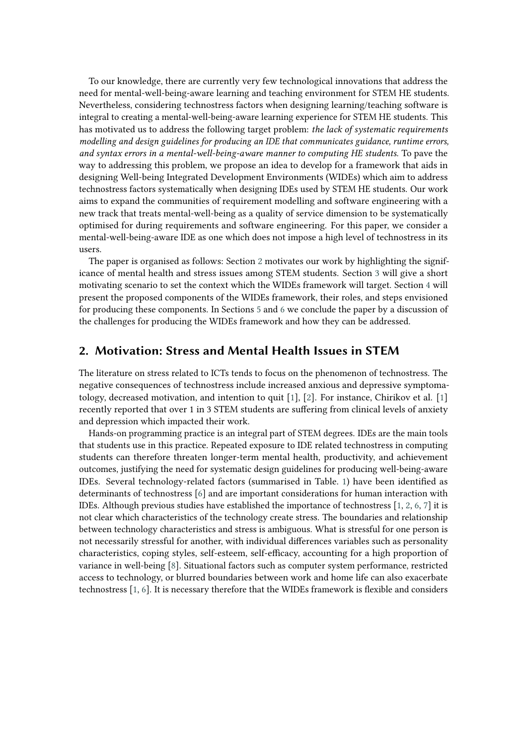To our knowledge, there are currently very few technological innovations that address the need for mental-well-being-aware learning and teaching environment for STEM HE students. Nevertheless, considering technostress factors when designing learning/teaching software is integral to creating a mental-well-being-aware learning experience for STEM HE students. This has motivated us to address the following target problem: *the lack of systematic requirements modelling and design guidelines for producing an IDE that communicates guidance, runtime errors, and syntax errors in a mental-well-being-aware manner to computing HE students.* To pave the way to addressing this problem, we propose an idea to develop for a framework that aids in designing Well-being Integrated Development Environments (WIDEs) which aim to address technostress factors systematically when designing IDEs used by STEM HE students. Our work aims to expand the communities of requirement modelling and software engineering with a new track that treats mental-well-being as a quality of service dimension to be systematically optimised for during requirements and software engineering. For this paper, we consider a mental-well-being-aware IDE as one which does not impose a high level of technostress in its users.

The paper is organised as follows: Section [2](#page-1-0) motivates our work by highlighting the significance of mental health and stress issues among STEM students. Section [3](#page-2-0) will give a short motivating scenario to set the context which the WIDEs framework will target. Section [4](#page-2-1) will present the proposed components of the WIDEs framework, their roles, and steps envisioned for producing these components. In Sections [5](#page-4-0) and [6](#page-5-0) we conclude the paper by a discussion of the challenges for producing the WIDEs framework and how they can be addressed.

#### <span id="page-1-0"></span>**2. Motivation: Stress and Mental Health Issues in STEM**

The literature on stress related to ICTs tends to focus on the phenomenon of technostress. The negative consequences of technostress include increased anxious and depressive symptomatology, decreased motivation, and intention to quit [\[1\]](#page-5-1), [\[2\]](#page-5-2). For instance, Chirikov et al. [\[1\]](#page-5-1) recently reported that over 1 in 3 STEM students are suffering from clinical levels of anxiety and depression which impacted their work.

Hands-on programming practice is an integral part of STEM degrees. IDEs are the main tools that students use in this practice. Repeated exposure to IDE related technostress in computing students can therefore threaten longer-term mental health, productivity, and achievement outcomes, justifying the need for systematic design guidelines for producing well-being-aware IDEs. Several technology-related factors (summarised in Table. [1\)](#page-2-2) have been identified as determinants of technostress [\[6\]](#page-5-3) and are important considerations for human interaction with IDEs. Although previous studies have established the importance of technostress [\[1,](#page-5-1) [2,](#page-5-2) [6,](#page-5-3) [7\]](#page-6-0) it is not clear which characteristics of the technology create stress. The boundaries and relationship between technology characteristics and stress is ambiguous. What is stressful for one person is not necessarily stressful for another, with individual differences variables such as personality characteristics, coping styles, self-esteem, self-efficacy, accounting for a high proportion of variance in well-being [\[8\]](#page-6-1). Situational factors such as computer system performance, restricted access to technology, or blurred boundaries between work and home life can also exacerbate technostress [\[1,](#page-5-1) [6\]](#page-5-3). It is necessary therefore that the WIDEs framework is flexible and considers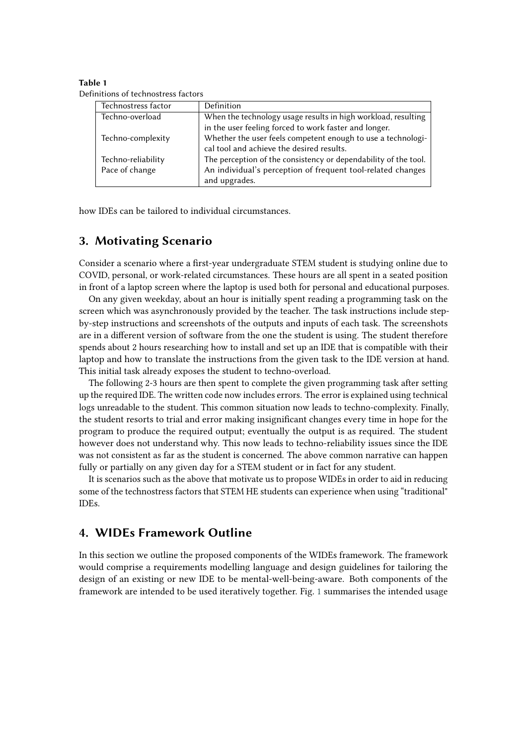<span id="page-2-2"></span>**Table 1** Definitions of technostress factors

| Technostress factor | Definition                                                      |
|---------------------|-----------------------------------------------------------------|
| Techno-overload     | When the technology usage results in high workload, resulting   |
|                     | in the user feeling forced to work faster and longer.           |
| Techno-complexity   | Whether the user feels competent enough to use a technologi-    |
|                     | cal tool and achieve the desired results.                       |
| Techno-reliability  | The perception of the consistency or dependability of the tool. |
| Pace of change      | An individual's perception of frequent tool-related changes     |
|                     | and upgrades.                                                   |

how IDEs can be tailored to individual circumstances.

### <span id="page-2-0"></span>**3. Motivating Scenario**

Consider a scenario where a first-year undergraduate STEM student is studying online due to COVID, personal, or work-related circumstances. These hours are all spent in a seated position in front of a laptop screen where the laptop is used both for personal and educational purposes.

On any given weekday, about an hour is initially spent reading a programming task on the screen which was asynchronously provided by the teacher. The task instructions include stepby-step instructions and screenshots of the outputs and inputs of each task. The screenshots are in a different version of software from the one the student is using. The student therefore spends about 2 hours researching how to install and set up an IDE that is compatible with their laptop and how to translate the instructions from the given task to the IDE version at hand. This initial task already exposes the student to techno-overload.

The following 2-3 hours are then spent to complete the given programming task after setting up the required IDE. The written code now includes errors. The error is explained using technical logs unreadable to the student. This common situation now leads to techno-complexity. Finally, the student resorts to trial and error making insignificant changes every time in hope for the program to produce the required output; eventually the output is as required. The student however does not understand why. This now leads to techno-reliability issues since the IDE was not consistent as far as the student is concerned. The above common narrative can happen fully or partially on any given day for a STEM student or in fact for any student.

It is scenarios such as the above that motivate us to propose WIDEs in order to aid in reducing some of the technostress factors that STEM HE students can experience when using "traditional" IDEs.

### <span id="page-2-1"></span>**4. WIDEs Framework Outline**

In this section we outline the proposed components of the WIDEs framework. The framework would comprise a requirements modelling language and design guidelines for tailoring the design of an existing or new IDE to be mental-well-being-aware. Both components of the framework are intended to be used iteratively together. Fig. [1](#page-3-0) summarises the intended usage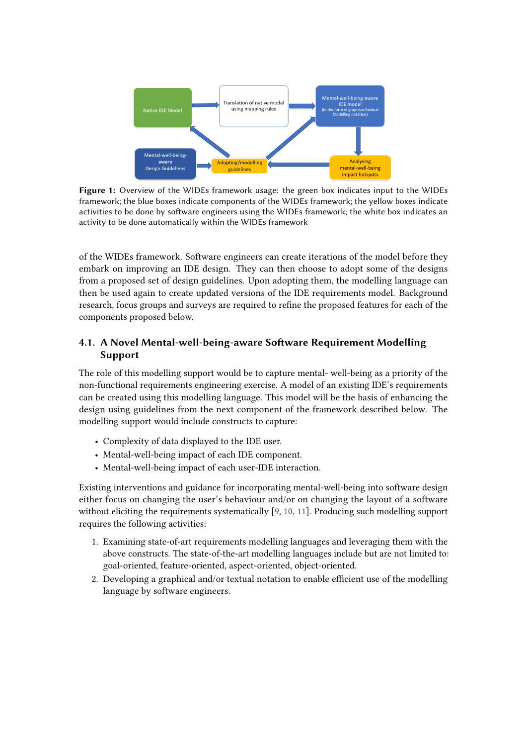<span id="page-3-0"></span>

**Figure 1:** Overview of the WIDEs framework usage: the green box indicates input to the WIDEs framework; the blue boxes indicate components of the WIDEs framework; the yellow boxes indicate activities to be done by software engineers using the WIDEs framework; the white box indicates an activity to be done automatically within the WIDEs framework

of the WIDEs framework. Software engineers can create iterations of the model before they embark on improving an IDE design. They can then choose to adopt some of the designs from a proposed set of design guidelines. Upon adopting them, the modelling language can then be used again to create updated versions of the IDE requirements model. Background research, focus groups and surveys are required to refine the proposed features for each of the components proposed below.

#### **4.1. A Novel Mental-well-being-aware Software Requirement Modelling Support**

The role of this modelling support would be to capture mental- well-being as a priority of the non-functional requirements engineering exercise. A model of an existing IDE's requirements can be created using this modelling language. This model will be the basis of enhancing the design using guidelines from the next component of the framework described below. The modelling support would include constructs to capture:

- Complexity of data displayed to the IDE user.
- Mental-well-being impact of each IDE component.
- Mental-well-being impact of each user-IDE interaction.

Existing interventions and guidance for incorporating mental-well-being into software design either focus on changing the user's behaviour and/or on changing the layout of a software without eliciting the requirements systematically [\[9,](#page-6-2) [10,](#page-6-3) [11\]](#page-6-4). Producing such modelling support requires the following activities:

- 1. Examining state-of-art requirements modelling languages and leveraging them with the above constructs. The state-of-the-art modelling languages include but are not limited to: goal-oriented, feature-oriented, aspect-oriented, object-oriented.
- 2. Developing a graphical and/or textual notation to enable efficient use of the modelling language by software engineers.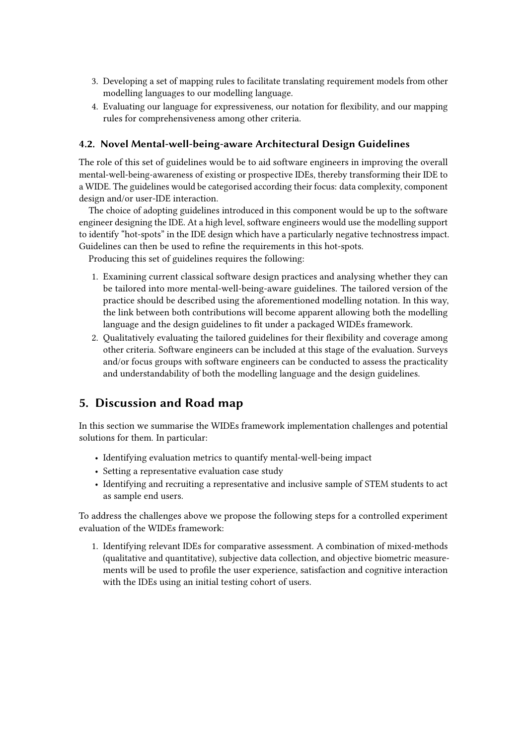- 3. Developing a set of mapping rules to facilitate translating requirement models from other modelling languages to our modelling language.
- 4. Evaluating our language for expressiveness, our notation for flexibility, and our mapping rules for comprehensiveness among other criteria.

#### **4.2. Novel Mental-well-being-aware Architectural Design Guidelines**

The role of this set of guidelines would be to aid software engineers in improving the overall mental-well-being-awareness of existing or prospective IDEs, thereby transforming their IDE to a WIDE. The guidelines would be categorised according their focus: data complexity, component design and/or user-IDE interaction.

The choice of adopting guidelines introduced in this component would be up to the software engineer designing the IDE. At a high level, software engineers would use the modelling support to identify "hot-spots" in the IDE design which have a particularly negative technostress impact. Guidelines can then be used to refine the requirements in this hot-spots.

Producing this set of guidelines requires the following:

- 1. Examining current classical software design practices and analysing whether they can be tailored into more mental-well-being-aware guidelines. The tailored version of the practice should be described using the aforementioned modelling notation. In this way, the link between both contributions will become apparent allowing both the modelling language and the design guidelines to fit under a packaged WIDEs framework.
- 2. Qualitatively evaluating the tailored guidelines for their flexibility and coverage among other criteria. Software engineers can be included at this stage of the evaluation. Surveys and/or focus groups with software engineers can be conducted to assess the practicality and understandability of both the modelling language and the design guidelines.

# <span id="page-4-0"></span>**5. Discussion and Road map**

In this section we summarise the WIDEs framework implementation challenges and potential solutions for them. In particular:

- Identifying evaluation metrics to quantify mental-well-being impact
- Setting a representative evaluation case study
- Identifying and recruiting a representative and inclusive sample of STEM students to act as sample end users.

To address the challenges above we propose the following steps for a controlled experiment evaluation of the WIDEs framework:

1. Identifying relevant IDEs for comparative assessment. A combination of mixed-methods (qualitative and quantitative), subjective data collection, and objective biometric measurements will be used to profile the user experience, satisfaction and cognitive interaction with the IDEs using an initial testing cohort of users.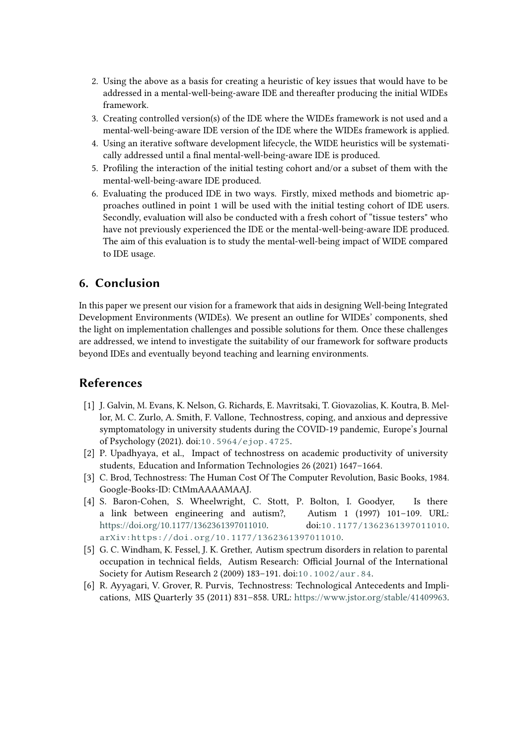- 2. Using the above as a basis for creating a heuristic of key issues that would have to be addressed in a mental-well-being-aware IDE and thereafter producing the initial WIDEs framework.
- 3. Creating controlled version(s) of the IDE where the WIDEs framework is not used and a mental-well-being-aware IDE version of the IDE where the WIDEs framework is applied.
- 4. Using an iterative software development lifecycle, the WIDE heuristics will be systematically addressed until a final mental-well-being-aware IDE is produced.
- 5. Profiling the interaction of the initial testing cohort and/or a subset of them with the mental-well-being-aware IDE produced.
- 6. Evaluating the produced IDE in two ways. Firstly, mixed methods and biometric approaches outlined in point 1 will be used with the initial testing cohort of IDE users. Secondly, evaluation will also be conducted with a fresh cohort of "tissue testers" who have not previously experienced the IDE or the mental-well-being-aware IDE produced. The aim of this evaluation is to study the mental-well-being impact of WIDE compared to IDE usage.

### <span id="page-5-0"></span>**6. Conclusion**

In this paper we present our vision for a framework that aids in designing Well-being Integrated Development Environments (WIDEs). We present an outline for WIDEs' components, shed the light on implementation challenges and possible solutions for them. Once these challenges are addressed, we intend to investigate the suitability of our framework for software products beyond IDEs and eventually beyond teaching and learning environments.

## **References**

- <span id="page-5-1"></span>[1] J. Galvin, M. Evans, K. Nelson, G. Richards, E. Mavritsaki, T. Giovazolias, K. Koutra, B. Mellor, M. C. Zurlo, A. Smith, F. Vallone, Technostress, coping, and anxious and depressive symptomatology in university students during the COVID-19 pandemic, Europe's Journal of Psychology (2021). doi:[10.5964/ejop.4725](http://dx.doi.org/10.5964/ejop.4725).
- <span id="page-5-2"></span>[2] P. Upadhyaya, et al., Impact of technostress on academic productivity of university students, Education and Information Technologies 26 (2021) 1647–1664.
- [3] C. Brod, Technostress: The Human Cost Of The Computer Revolution, Basic Books, 1984. Google-Books-ID: CtMmAAAAMAAJ.
- [4] S. Baron-Cohen, S. Wheelwright, C. Stott, P. Bolton, I. Goodyer, Is there a link between engineering and autism?, Autism 1 (1997) 101–109. URL: [https://doi.org/10.1177/1362361397011010.](https://doi.org/10.1177/1362361397011010) doi:[10.1177/1362361397011010](http://dx.doi.org/10.1177/1362361397011010). [arXiv:https://doi.org/10.1177/1362361397011010](http://arxiv.org/abs/https://doi.org/10.1177/1362361397011010).
- [5] G. C. Windham, K. Fessel, J. K. Grether, Autism spectrum disorders in relation to parental occupation in technical fields, Autism Research: Official Journal of the International Society for Autism Research 2 (2009) 183–191. doi:[10.1002/aur.84](http://dx.doi.org/10.1002/aur.84).
- <span id="page-5-3"></span>[6] R. Ayyagari, V. Grover, R. Purvis, Technostress: Technological Antecedents and Implications, MIS Quarterly 35 (2011) 831–858. URL: [https://www.jstor.org/stable/41409963.](https://www.jstor.org/stable/41409963)